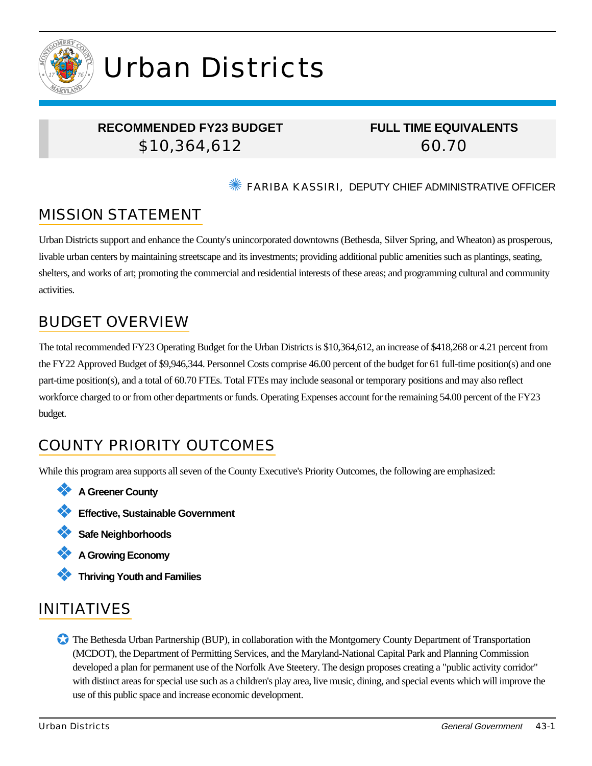

# Urban Districts

### **RECOMMENDED FY23 BUDGET** \$10,364,612

### **FULL TIME EQUIVALENTS** 60.70

### ✺ FARIBA KASSIRI, DEPUTY CHIEF ADMINISTRATIVE OFFICER

# MISSION STATEMENT

Urban Districts support and enhance the County's unincorporated downtowns (Bethesda, Silver Spring, and Wheaton) as prosperous, livable urban centers by maintaining streetscape and its investments; providing additional public amenities such as plantings, seating, shelters, and works of art; promoting the commercial and residential interests of these areas; and programming cultural and community activities.

## BUDGET OVERVIEW

The total recommended FY23 Operating Budget for the Urban Districts is \$10,364,612, an increase of \$418,268 or 4.21 percent from the FY22 Approved Budget of \$9,946,344. Personnel Costs comprise 46.00 percent of the budget for 61 full-time position(s) and one part-time position(s), and a total of 60.70 FTEs. Total FTEs may include seasonal or temporary positions and may also reflect workforce charged to or from other departments or funds. Operating Expenses account for the remaining 54.00 percent of the FY23 budget.

# COUNTY PRIORITY OUTCOMES

While this program area supports all seven of the County Executive's Priority Outcomes, the following are emphasized:

- ❖ **A Greener County**
- ❖ **Effective, Sustainable Government**
- ❖ **Safe Neighborhoods**
- ❖ **A Growing Economy**
- ❖ **Thriving Youth and Families**

# INITIATIVES

✪ The Bethesda Urban Partnership (BUP), in collaboration with the Montgomery County Department of Transportation (MCDOT), the Department of Permitting Services, and the Maryland-National Capital Park and Planning Commission developed a plan for permanent use of the Norfolk Ave Steetery. The design proposes creating a "public activity corridor" with distinct areas for special use such as a children's play area, live music, dining, and special events which will improve the use of this public space and increase economic development.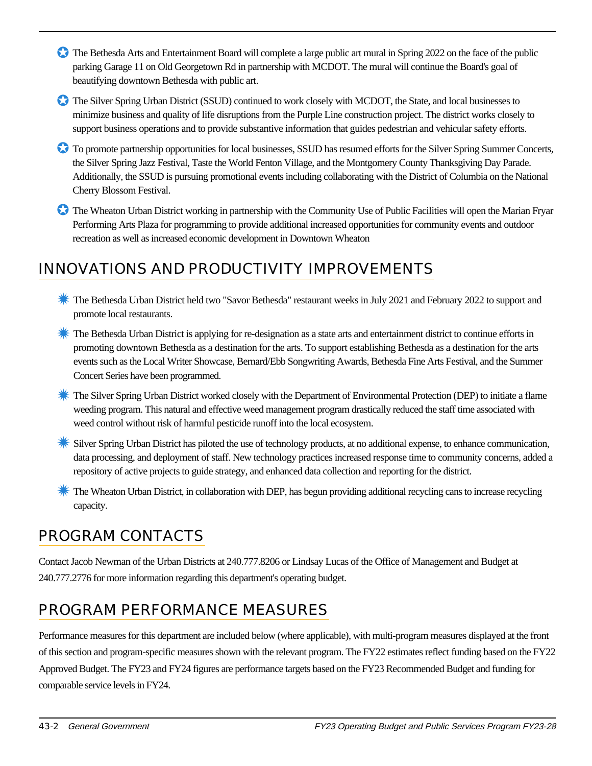- The Bethesda Arts and Entertainment Board will complete a large public art mural in Spring 2022 on the face of the public parking Garage 11 on Old Georgetown Rd in partnership with MCDOT. The mural will continue the Board's goal of beautifying downtown Bethesda with public art.
- ✪ The Silver Spring Urban District (SSUD) continued to work closely with MCDOT, the State, and local businesses to minimize business and quality of life disruptions from the Purple Line construction project. The district works closely to support business operations and to provide substantive information that guides pedestrian and vehicular safety efforts.
- ✪ To promote partnership opportunities for local businesses, SSUD has resumed efforts for the Silver Spring Summer Concerts, the Silver Spring Jazz Festival, Taste the World Fenton Village, and the Montgomery County Thanksgiving Day Parade. Additionally, the SSUD is pursuing promotional events including collaborating with the District of Columbia on the National Cherry Blossom Festival.
- ✪ The Wheaton Urban District working in partnership with the Community Use of Public Facilities will open the Marian Fryar Performing Arts Plaza for programming to provide additional increased opportunities for community events and outdoor recreation as well as increased economic development in Downtown Wheaton

# INNOVATIONS AND PRODUCTIVITY IMPROVEMENTS

- ✹ The Bethesda Urban District held two "Savor Bethesda" restaurant weeks in July 2021 and February 2022 to support and promote local restaurants.
- **K** The Bethesda Urban District is applying for re-designation as a state arts and entertainment district to continue efforts in promoting downtown Bethesda as a destination for the arts. To support establishing Bethesda as a destination for the arts events such as the Local Writer Showcase, Bernard/Ebb Songwriting Awards, Bethesda Fine Arts Festival, and the Summer Concert Series have been programmed.
- **★ The Silver Spring Urban District worked closely with the Department of Environmental Protection (DEP) to initiate a flame** weeding program. This natural and effective weed management program drastically reduced the staff time associated with weed control without risk of harmful pesticide runoff into the local ecosystem.
- **Silver Spring Urban District has piloted the use of technology products, at no additional expense, to enhance communication,** data processing, and deployment of staff. New technology practices increased response time to community concerns, added a repository of active projects to guide strategy, and enhanced data collection and reporting for the district.
- **K** The Wheaton Urban District, in collaboration with DEP, has begun providing additional recycling cans to increase recycling capacity.

# PROGRAM CONTACTS

Contact Jacob Newman of the Urban Districts at 240.777.8206 or Lindsay Lucas of the Office of Management and Budget at 240.777.2776 for more information regarding this department's operating budget.

# PROGRAM PERFORMANCE MEASURES

Performance measures for this department are included below (where applicable), with multi-program measures displayed at the front of this section and program-specific measures shown with the relevant program. The FY22 estimates reflect funding based on the FY22 Approved Budget. The FY23 and FY24 figures are performance targets based on the FY23 Recommended Budget and funding for comparable service levels in FY24.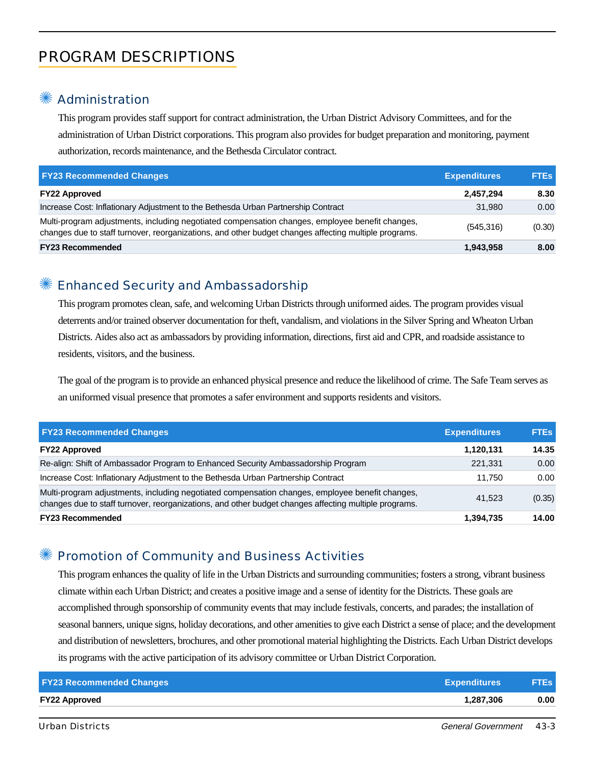# PROGRAM DESCRIPTIONS

### **Administration**

This program provides staff support for contract administration, the Urban District Advisory Committees, and for the administration of Urban District corporations. This program also provides for budget preparation and monitoring, payment authorization, records maintenance, and the Bethesda Circulator contract.

| <b>FY23 Recommended Changes</b>                                                                                                                                                                          | <b>Expenditures</b> | <b>FTEs</b> |
|----------------------------------------------------------------------------------------------------------------------------------------------------------------------------------------------------------|---------------------|-------------|
| <b>FY22 Approved</b>                                                                                                                                                                                     | 2,457,294           | 8.30        |
| Increase Cost: Inflationary Adjustment to the Bethesda Urban Partnership Contract                                                                                                                        | 31.980              | 0.00        |
| Multi-program adjustments, including negotiated compensation changes, employee benefit changes,<br>changes due to staff turnover, reorganizations, and other budget changes affecting multiple programs. | (545, 316)          | (0.30)      |
| <b>FY23 Recommended</b>                                                                                                                                                                                  | 1,943,958           | 8.00        |

### ✺ Enhanced Security and Ambassadorship

This program promotes clean, safe, and welcoming Urban Districts through uniformed aides. The program provides visual deterrents and/or trained observer documentation for theft, vandalism, and violations in the Silver Spring and Wheaton Urban Districts. Aides also act as ambassadors by providing information, directions, first aid and CPR, and roadside assistance to residents, visitors, and the business.

The goal of the program is to provide an enhanced physical presence and reduce the likelihood of crime. The Safe Team serves as an uniformed visual presence that promotes a safer environment and supports residents and visitors.

| <b>FY23 Recommended Changes</b>                                                                                                                                                                          | <b>Expenditures</b> | <b>FTEs</b> |
|----------------------------------------------------------------------------------------------------------------------------------------------------------------------------------------------------------|---------------------|-------------|
| <b>FY22 Approved</b>                                                                                                                                                                                     | 1,120,131           | 14.35       |
| Re-align: Shift of Ambassador Program to Enhanced Security Ambassadorship Program                                                                                                                        | 221.331             | 0.00        |
| Increase Cost: Inflationary Adjustment to the Bethesda Urban Partnership Contract                                                                                                                        | 11.750              | 0.00        |
| Multi-program adjustments, including negotiated compensation changes, employee benefit changes,<br>changes due to staff turnover, reorganizations, and other budget changes affecting multiple programs. | 41.523              | (0.35)      |
| <b>FY23 Recommended</b>                                                                                                                                                                                  | 1,394,735           | 14.00       |

### ✺ Promotion of Community and Business Activities

This program enhances the quality of life in the Urban Districts and surrounding communities; fosters a strong, vibrant business climate within each Urban District; and creates a positive image and a sense of identity for the Districts. These goals are accomplished through sponsorship of community events that may include festivals, concerts, and parades; the installation of seasonal banners, unique signs, holiday decorations, and other amenities to give each District a sense of place; and the development and distribution of newsletters, brochures, and other promotional material highlighting the Districts. Each Urban District develops its programs with the active participation of its advisory committee or Urban District Corporation.

| <b>FY23 Recommended Changes</b> | <b>Expenditures</b> | <b>FTEs</b> |
|---------------------------------|---------------------|-------------|
| <b>FY22 Approved</b>            | 1.287.306           | 0.00        |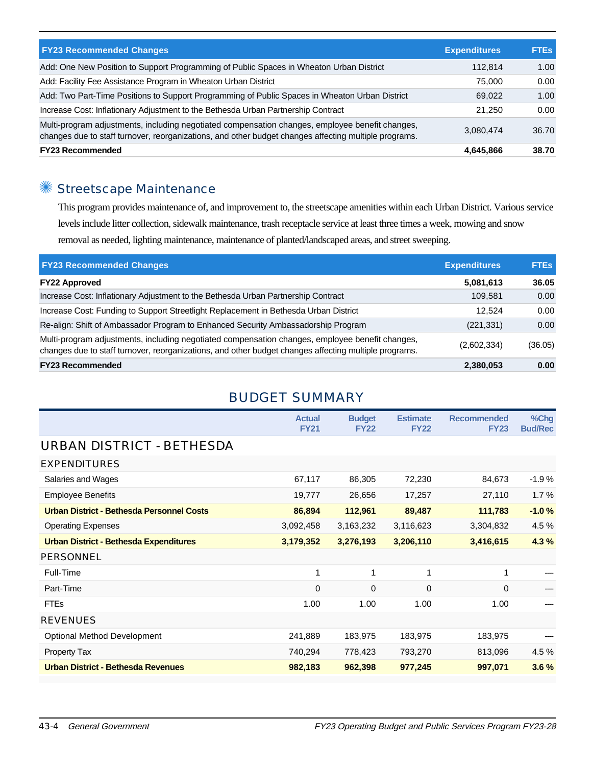| <b>FY23 Recommended Changes</b>                                                                                                                                                                          | <b>Expenditures</b> | <b>FTEs</b> |
|----------------------------------------------------------------------------------------------------------------------------------------------------------------------------------------------------------|---------------------|-------------|
| Add: One New Position to Support Programming of Public Spaces in Wheaton Urban District                                                                                                                  | 112.814             | 1.00        |
| Add: Facility Fee Assistance Program in Wheaton Urban District                                                                                                                                           | 75.000              | 0.00        |
| Add: Two Part-Time Positions to Support Programming of Public Spaces in Wheaton Urban District                                                                                                           | 69.022              | 1.00        |
| Increase Cost: Inflationary Adjustment to the Bethesda Urban Partnership Contract                                                                                                                        | 21.250              | 0.00        |
| Multi-program adjustments, including negotiated compensation changes, employee benefit changes,<br>changes due to staff turnover, reorganizations, and other budget changes affecting multiple programs. | 3,080,474           | 36.70       |
| <b>FY23 Recommended</b>                                                                                                                                                                                  | 4,645,866           | 38.70       |

# ✺ Streetscape Maintenance

This program provides maintenance of, and improvement to, the streetscape amenities within each Urban District. Various service levels include litter collection, sidewalk maintenance, trash receptacle service at least three times a week, mowing and snow removal as needed, lighting maintenance, maintenance of planted/landscaped areas, and street sweeping.

| <b>FY23 Recommended Changes</b>                                                                                                                                                                          | <b>Expenditures</b> | <b>FTEs</b> |
|----------------------------------------------------------------------------------------------------------------------------------------------------------------------------------------------------------|---------------------|-------------|
| <b>FY22 Approved</b>                                                                                                                                                                                     | 5,081,613           | 36.05       |
| Increase Cost: Inflationary Adjustment to the Bethesda Urban Partnership Contract                                                                                                                        | 109.581             | 0.00        |
| Increase Cost: Funding to Support Streetlight Replacement in Bethesda Urban District                                                                                                                     | 12.524              | 0.00        |
| Re-align: Shift of Ambassador Program to Enhanced Security Ambassadorship Program                                                                                                                        | (221, 331)          | 0.00        |
| Multi-program adjustments, including negotiated compensation changes, employee benefit changes,<br>changes due to staff turnover, reorganizations, and other budget changes affecting multiple programs. | (2,602,334)         | (36.05)     |
| <b>FY23 Recommended</b>                                                                                                                                                                                  | 2,380,053           | 0.00        |

### BUDGET SUMMARY

|                                                  | <b>Actual</b><br><b>FY21</b> | <b>Budget</b><br><b>FY22</b> | <b>Estimate</b><br><b>FY22</b> | <b>Recommended</b><br><b>FY23</b> | %Chg<br><b>Bud/Rec</b> |
|--------------------------------------------------|------------------------------|------------------------------|--------------------------------|-----------------------------------|------------------------|
| URBAN DISTRICT - BETHESDA                        |                              |                              |                                |                                   |                        |
| <b>EXPENDITURES</b>                              |                              |                              |                                |                                   |                        |
| Salaries and Wages                               | 67,117                       | 86,305                       | 72,230                         | 84,673                            | $-1.9%$                |
| <b>Employee Benefits</b>                         | 19,777                       | 26,656                       | 17,257                         | 27,110                            | 1.7%                   |
| <b>Urban District - Bethesda Personnel Costs</b> | 86,894                       | 112,961                      | 89,487                         | 111,783                           | $-1.0%$                |
| <b>Operating Expenses</b>                        | 3,092,458                    | 3,163,232                    | 3,116,623                      | 3,304,832                         | 4.5 %                  |
| <b>Urban District - Bethesda Expenditures</b>    | 3,179,352                    | 3,276,193                    | 3,206,110                      | 3,416,615                         | 4.3%                   |
| <b>PERSONNEL</b>                                 |                              |                              |                                |                                   |                        |
| Full-Time                                        | 1                            | 1                            | $\mathbf{1}$                   | 1                                 |                        |
| Part-Time                                        | 0                            | 0                            | 0                              | $\Omega$                          |                        |
| <b>FTEs</b>                                      | 1.00                         | 1.00                         | 1.00                           | 1.00                              |                        |
| <b>REVENUES</b>                                  |                              |                              |                                |                                   |                        |
| <b>Optional Method Development</b>               | 241,889                      | 183,975                      | 183,975                        | 183,975                           |                        |
| <b>Property Tax</b>                              | 740,294                      | 778,423                      | 793,270                        | 813,096                           | 4.5 %                  |
| <b>Urban District - Bethesda Revenues</b>        | 982,183                      | 962,398                      | 977,245                        | 997,071                           | 3.6%                   |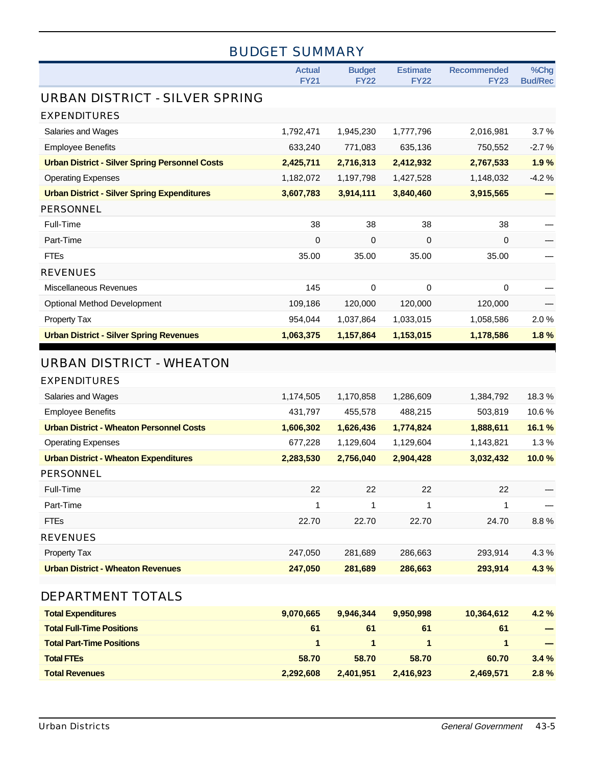| <b>BUDGET SUMMARY</b>                                 |                              |                              |                                |                                   |                        |
|-------------------------------------------------------|------------------------------|------------------------------|--------------------------------|-----------------------------------|------------------------|
|                                                       | <b>Actual</b><br><b>FY21</b> | <b>Budget</b><br><b>FY22</b> | <b>Estimate</b><br><b>FY22</b> | <b>Recommended</b><br><b>FY23</b> | %Chg<br><b>Bud/Rec</b> |
| URBAN DISTRICT - SILVER SPRING                        |                              |                              |                                |                                   |                        |
| <b>EXPENDITURES</b>                                   |                              |                              |                                |                                   |                        |
| Salaries and Wages                                    | 1,792,471                    | 1,945,230                    | 1,777,796                      | 2,016,981                         | 3.7%                   |
| <b>Employee Benefits</b>                              | 633,240                      | 771,083                      | 635,136                        | 750,552                           | $-2.7%$                |
| <b>Urban District - Silver Spring Personnel Costs</b> | 2,425,711                    | 2,716,313                    | 2,412,932                      | 2,767,533                         | 1.9%                   |
| <b>Operating Expenses</b>                             | 1,182,072                    | 1,197,798                    | 1,427,528                      | 1,148,032                         | $-4.2%$                |
| <b>Urban District - Silver Spring Expenditures</b>    | 3,607,783                    | 3,914,111                    | 3,840,460                      | 3,915,565                         |                        |
| <b>PERSONNEL</b>                                      |                              |                              |                                |                                   |                        |
| Full-Time                                             | 38                           | 38                           | 38                             | 38                                |                        |
| Part-Time                                             | 0                            | 0                            | 0                              | 0                                 |                        |
| <b>FTEs</b>                                           | 35.00                        | 35.00                        | 35.00                          | 35.00                             |                        |
| <b>REVENUES</b>                                       |                              |                              |                                |                                   |                        |
| Miscellaneous Revenues                                | 145                          | 0                            | 0                              | 0                                 |                        |
| <b>Optional Method Development</b>                    | 109,186                      | 120,000                      | 120,000                        | 120,000                           |                        |
| Property Tax                                          | 954,044                      | 1,037,864                    | 1,033,015                      | 1,058,586                         | 2.0%                   |
| <b>Urban District - Silver Spring Revenues</b>        | 1,063,375                    | 1,157,864                    | 1,153,015                      | 1,178,586                         | 1.8%                   |
| <b>URBAN DISTRICT - WHEATON</b>                       |                              |                              |                                |                                   |                        |
| <b>EXPENDITURES</b>                                   |                              |                              |                                |                                   |                        |
| Salaries and Wages                                    | 1,174,505                    | 1,170,858                    | 1,286,609                      | 1,384,792                         | 18.3%                  |
| <b>Employee Benefits</b>                              | 431,797                      | 455,578                      | 488,215                        | 503,819                           | 10.6%                  |
| <b>Urban District - Wheaton Personnel Costs</b>       | 1,606,302                    | 1,626,436                    | 1,774,824                      | 1,888,611                         | 16.1 %                 |
| <b>Operating Expenses</b>                             | 677,228                      | 1,129,604                    | 1,129,604                      | 1,143,821                         | 1.3%                   |
| <b>Urban District - Wheaton Expenditures</b>          | 2,283,530                    | 2,756,040                    | 2,904,428                      | 3,032,432                         | 10.0%                  |
| PERSONNEL                                             |                              |                              |                                |                                   |                        |
| Full-Time                                             | 22                           | 22                           | 22                             | 22                                |                        |
| Part-Time                                             | 1                            | $\mathbf 1$                  | 1                              | 1                                 |                        |
| <b>FTEs</b>                                           | 22.70                        | 22.70                        | 22.70                          | 24.70                             | 8.8%                   |
| <b>REVENUES</b>                                       |                              |                              |                                |                                   |                        |
| Property Tax                                          | 247,050                      | 281,689                      | 286,663                        | 293,914                           | 4.3%                   |
| <b>Urban District - Wheaton Revenues</b>              | 247,050                      | 281,689                      | 286,663                        | 293,914                           | 4.3%                   |
| DEPARTMENT TOTALS                                     |                              |                              |                                |                                   |                        |
| <b>Total Expenditures</b>                             | 9,070,665                    | 9,946,344                    | 9,950,998                      | 10,364,612                        | 4.2%                   |
| <b>Total Full-Time Positions</b>                      | 61                           | 61                           | 61                             | 61                                |                        |
| <b>Total Part-Time Positions</b>                      | $\mathbf{1}$                 | $\mathbf{1}$                 | 1                              | $\mathbf{1}$                      |                        |
| <b>Total FTEs</b>                                     | 58.70                        | 58.70                        | 58.70                          | 60.70                             | 3.4%                   |
| <b>Total Revenues</b>                                 | 2,292,608                    | 2,401,951                    | 2,416,923                      | 2,469,571                         | 2.8%                   |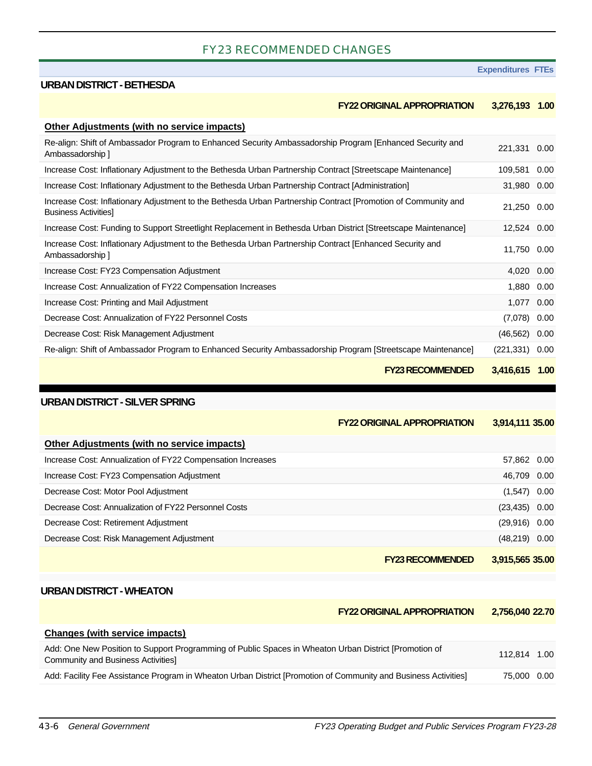#### FY23 RECOMMENDED CHANGES

#### **Expenditures FTEs**

#### **URBAN DISTRICT - BETHESDA**

#### **FY22 ORIGINAL APPROPRIATION 3,276,193 1.00**

| <b>Other Adjustments (with no service impacts)</b>                                                                                          |                   |      |
|---------------------------------------------------------------------------------------------------------------------------------------------|-------------------|------|
| Re-align: Shift of Ambassador Program to Enhanced Security Ambassadorship Program [Enhanced Security and<br>Ambassadorship 1                | 221,331 0.00      |      |
| Increase Cost: Inflationary Adjustment to the Bethesda Urban Partnership Contract [Streetscape Maintenance]                                 | 109,581           | 0.00 |
| Increase Cost: Inflationary Adjustment to the Bethesda Urban Partnership Contract [Administration]                                          | 31,980 0.00       |      |
| Increase Cost: Inflationary Adjustment to the Bethesda Urban Partnership Contract [Promotion of Community and<br><b>Business Activities</b> | 21,250 0.00       |      |
| Increase Cost: Funding to Support Streetlight Replacement in Bethesda Urban District [Streetscape Maintenance]                              | 12,524 0.00       |      |
| Increase Cost: Inflationary Adjustment to the Bethesda Urban Partnership Contract [Enhanced Security and<br>Ambassadorship 1                | 11,750 0.00       |      |
| Increase Cost: FY23 Compensation Adjustment                                                                                                 | 4,020             | 0.00 |
| Increase Cost: Annualization of FY22 Compensation Increases                                                                                 | 1,880 0.00        |      |
| Increase Cost: Printing and Mail Adjustment                                                                                                 | 1,077             | 0.00 |
| Decrease Cost: Annualization of FY22 Personnel Costs                                                                                        | (7,078)           | 0.00 |
| Decrease Cost: Risk Management Adjustment                                                                                                   | (46, 562)         | 0.00 |
| Re-align: Shift of Ambassador Program to Enhanced Security Ambassadorship Program [Streetscape Maintenance]                                 | $(221, 331)$ 0.00 |      |
| <b>FY23 RECOMMENDED</b>                                                                                                                     | 3,416,615 1.00    |      |

#### **URBAN DISTRICT - SILVER SPRING**

|                                                             | <b>FY22 ORIGINAL APPROPRIATION</b> | 3,914,111 35.00  |
|-------------------------------------------------------------|------------------------------------|------------------|
| Other Adjustments (with no service impacts)                 |                                    |                  |
| Increase Cost: Annualization of FY22 Compensation Increases |                                    | 57,862 0.00      |
| Increase Cost: FY23 Compensation Adjustment                 |                                    | 46,709 0.00      |
| Decrease Cost: Motor Pool Adjustment                        |                                    | $(1,547)$ 0.00   |
| Decrease Cost: Annualization of FY22 Personnel Costs        |                                    | $(23, 435)$ 0.00 |
| Decrease Cost: Retirement Adjustment                        |                                    | $(29,916)$ 0.00  |
| Decrease Cost: Risk Management Adjustment                   |                                    | $(48,219)$ 0.00  |
|                                                             | <b>FY23 RECOMMENDED</b>            | 3,915,565 35.00  |

#### **URBAN DISTRICT - WHEATON**

|                                                                                                                                                   | <b>FY22 ORIGINAL APPROPRIATION</b> | 2.756.040 22.70 |  |
|---------------------------------------------------------------------------------------------------------------------------------------------------|------------------------------------|-----------------|--|
| <b>Changes (with service impacts)</b>                                                                                                             |                                    |                 |  |
| Add: One New Position to Support Programming of Public Spaces in Wheaton Urban District [Promotion of<br><b>Community and Business Activities</b> |                                    | 112.814 1.00    |  |
| Add: Facility Fee Assistance Program in Wheaton Urban District [Promotion of Community and Business Activities]                                   |                                    | 75,000 0.00     |  |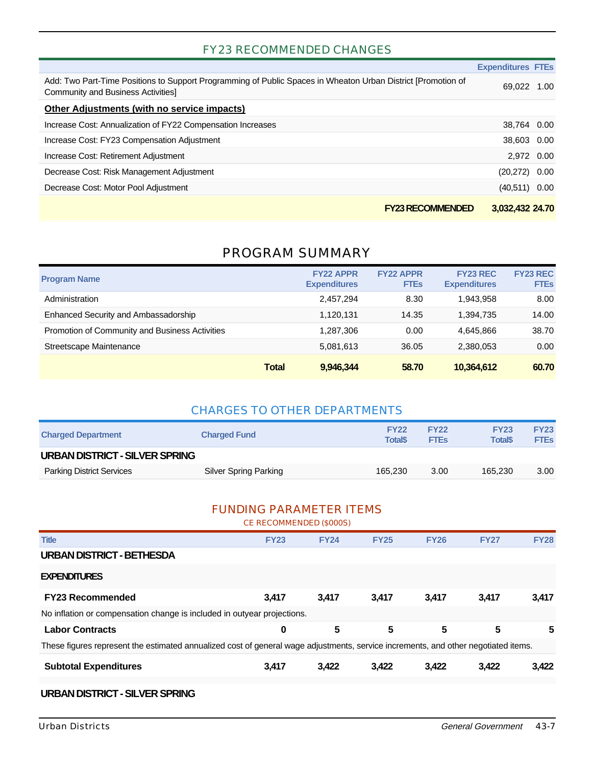#### FY23 RECOMMENDED CHANGES

|                                                                                                                                                   | <b>Expenditures FTEs</b> |      |
|---------------------------------------------------------------------------------------------------------------------------------------------------|--------------------------|------|
| Add: Two Part-Time Positions to Support Programming of Public Spaces in Wheaton Urban District [Promotion of<br>Community and Business Activities | 69.022                   | 1.00 |
| Other Adjustments (with no service impacts)                                                                                                       |                          |      |
| Increase Cost: Annualization of FY22 Compensation Increases                                                                                       | 38,764 0.00              |      |
| Increase Cost: FY23 Compensation Adjustment                                                                                                       | 38,603 0.00              |      |
| Increase Cost: Retirement Adjustment                                                                                                              | 2.972 0.00               |      |
| Decrease Cost: Risk Management Adjustment                                                                                                         | $(20,272)$ 0.00          |      |
| Decrease Cost: Motor Pool Adjustment                                                                                                              | $(40,511)$ 0.00          |      |
| <b>FY23 RECOMMENDED</b>                                                                                                                           | 3,032,432 24.70          |      |

### PROGRAM SUMMARY

| <b>Program Name</b>                            |              | <b>FY22 APPR</b><br><b>Expenditures</b> | <b>FY22 APPR</b><br><b>FTEs</b> | <b>FY23 REC</b><br><b>Expenditures</b> | <b>FY23 REC</b><br><b>FTEs</b> |
|------------------------------------------------|--------------|-----------------------------------------|---------------------------------|----------------------------------------|--------------------------------|
| Administration                                 |              | 2,457,294                               | 8.30                            | 1.943.958                              | 8.00                           |
| Enhanced Security and Ambassadorship           |              | 1,120,131                               | 14.35                           | 1.394.735                              | 14.00                          |
| Promotion of Community and Business Activities |              | 1.287.306                               | 0.00                            | 4.645.866                              | 38.70                          |
| Streetscape Maintenance                        |              | 5,081,613                               | 36.05                           | 2,380,053                              | 0.00                           |
|                                                | <b>Total</b> | 9,946,344                               | 58.70                           | 10,364,612                             | 60.70                          |

#### CHARGES TO OTHER DEPARTMENTS

| <b>Charged Department</b>        | <b>Charged Fund</b>   | <b>FY22</b><br><b>Total</b> \$ | <b>FY22</b><br><b>FTEs</b> | <b>FY23</b><br><b>Total\$</b> | <b>FY23</b><br><b>FTEs</b> |  |
|----------------------------------|-----------------------|--------------------------------|----------------------------|-------------------------------|----------------------------|--|
| URBAN DISTRICT - SILVER SPRING   |                       |                                |                            |                               |                            |  |
| <b>Parking District Services</b> | Silver Spring Parking | 165.230                        | 3.00                       | 165.230                       | 3.00                       |  |

#### FUNDING PARAMETER ITEMS CE RECOMMENDED (\$000S)

|                                                                                                                                    | <u>UL INLUUIVIIVILI VULU (QUUUU)</u> |             |             |             |             |             |
|------------------------------------------------------------------------------------------------------------------------------------|--------------------------------------|-------------|-------------|-------------|-------------|-------------|
| <b>Title</b>                                                                                                                       | <b>FY23</b>                          | <b>FY24</b> | <b>FY25</b> | <b>FY26</b> | <b>FY27</b> | <b>FY28</b> |
| <b>URBAN DISTRICT - BETHESDA</b>                                                                                                   |                                      |             |             |             |             |             |
| <b>EXPENDITURES</b>                                                                                                                |                                      |             |             |             |             |             |
| <b>FY23 Recommended</b>                                                                                                            | 3,417                                | 3.417       | 3,417       | 3,417       | 3,417       | 3,417       |
| No inflation or compensation change is included in outyear projections.                                                            |                                      |             |             |             |             |             |
| <b>Labor Contracts</b>                                                                                                             | 0                                    | 5           | 5           | 5           | 5           | 5           |
| These figures represent the estimated annualized cost of general wage adjustments, service increments, and other negotiated items. |                                      |             |             |             |             |             |
| <b>Subtotal Expenditures</b>                                                                                                       | 3,417                                | 3,422       | 3,422       | 3,422       | 3,422       | 3,422       |
|                                                                                                                                    |                                      |             |             |             |             |             |

#### **URBAN DISTRICT - SILVER SPRING**